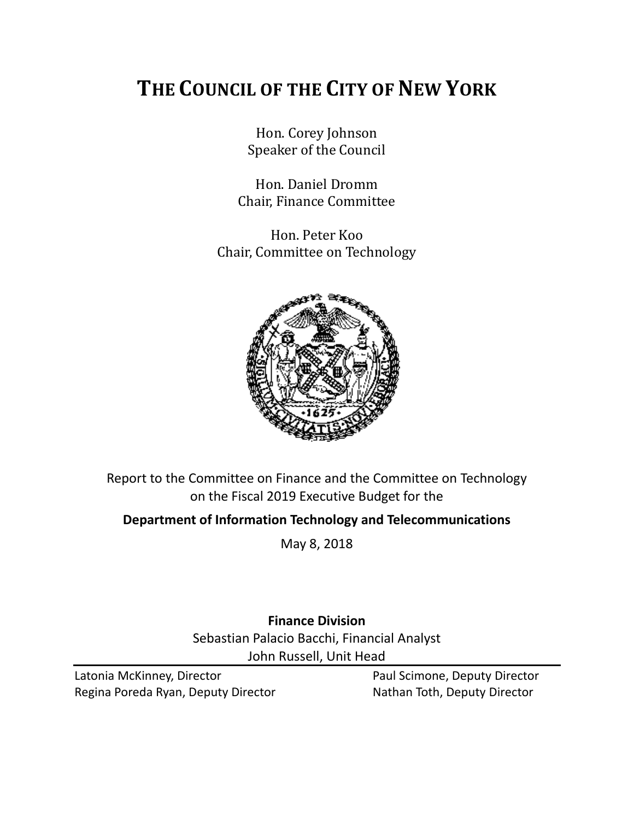# **THE COUNCIL OF THE CITY OF NEW YORK**

Hon. Corey Johnson Speaker of the Council

Hon. Daniel Dromm Chair, Finance Committee

Hon. Peter Koo Chair, Committee on Technology



Report to the Committee on Finance and the Committee on Technology on the Fiscal 2019 Executive Budget for the

**Department of Information Technology and Telecommunications**

May 8, 2018

**Finance Division** Sebastian Palacio Bacchi, Financial Analyst John Russell, Unit Head

Latonia McKinney, Director **Paul Scimone, Deputy Director** Paul Scimone, Deputy Director Regina Poreda Ryan, Deputy Director Nathan Toth, Deputy Director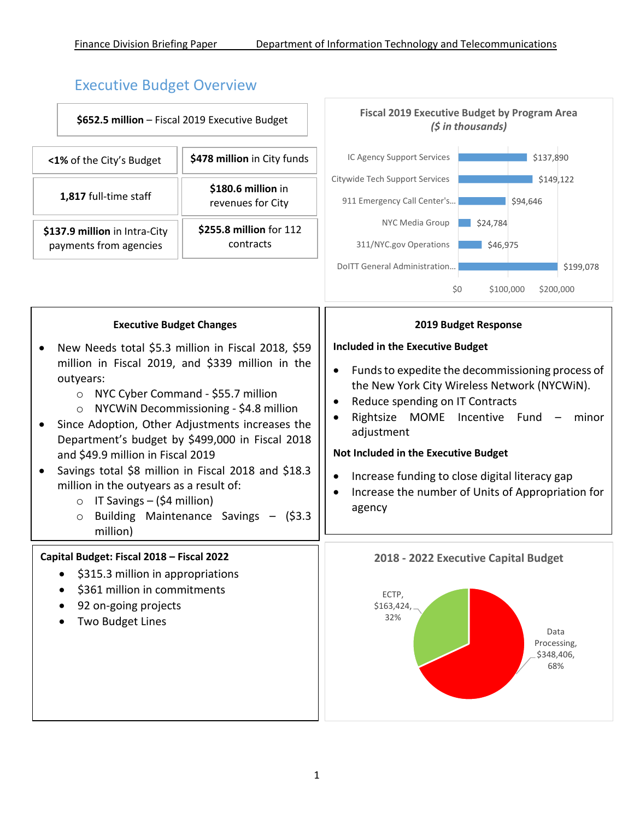# Executive Budget Overview

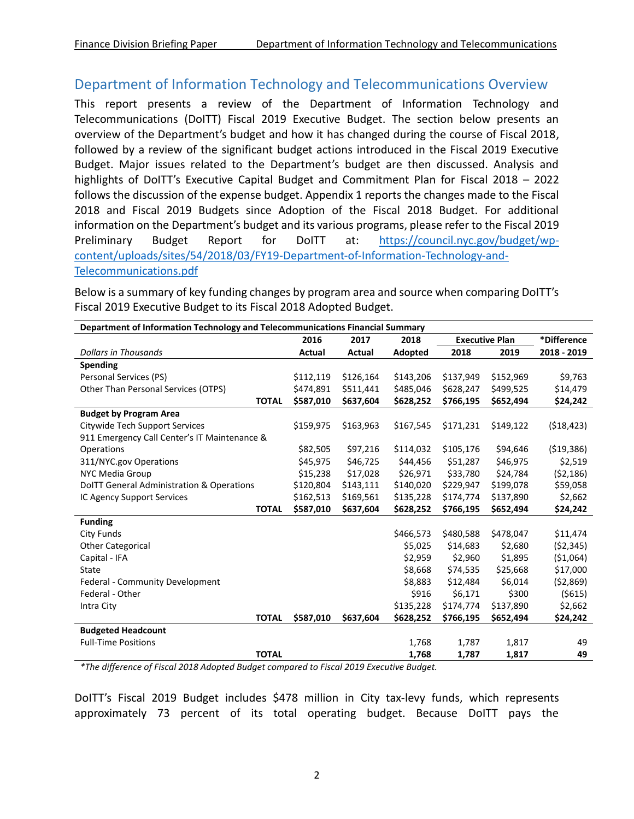### Department of Information Technology and Telecommunications Overview

This report presents a review of the Department of Information Technology and Telecommunications (DoITT) Fiscal 2019 Executive Budget. The section below presents an overview of the Department's budget and how it has changed during the course of Fiscal 2018, followed by a review of the significant budget actions introduced in the Fiscal 2019 Executive Budget. Major issues related to the Department's budget are then discussed. Analysis and highlights of DoITT's Executive Capital Budget and Commitment Plan for Fiscal 2018 – 2022 follows the discussion of the expense budget. Appendix 1 reports the changes made to the Fiscal 2018 and Fiscal 2019 Budgets since Adoption of the Fiscal 2018 Budget. For additional information on the Department's budget and its various programs, please refer to the Fiscal 2019 Preliminary Budget Report for DoITT at: [https://council.nyc.gov/budget/wp](https://council.nyc.gov/budget/wp-content/uploads/sites/54/2018/03/FY19-Department-of-Information-Technology-and-Telecommunications.pdf)[content/uploads/sites/54/2018/03/FY19-Department-of-Information-Technology-and-](https://council.nyc.gov/budget/wp-content/uploads/sites/54/2018/03/FY19-Department-of-Information-Technology-and-Telecommunications.pdf)[Telecommunications.pdf](https://council.nyc.gov/budget/wp-content/uploads/sites/54/2018/03/FY19-Department-of-Information-Technology-and-Telecommunications.pdf)

**Department of Information Technology and Telecommunications Financial Summary 2016 2017 2018 Executive Plan \*Difference** *Dollars in Thousands* **Actual Actual Adopted 2018 2019 2018 - 2019 Spending** Personal Services (PS)  $$12,119 \quad $126,164 \quad $143,206 \quad $137,949 \quad $152,969 \quad $9,763$ Other Than Personal Services (OTPS)  $$474,891$   $$511,441$   $$485,046$   $$628,247$   $$499,525$   $$14,479$ **TOTAL \$587,010 \$637,604 \$628,252 \$766,195 \$652,494 \$24,242 Budget by Program Area** Citywide Tech Support Services \$159,975 \$163,963 \$167,545 \$171,231 \$149,122 (\$18,423) 911 Emergency Call Center's IT Maintenance & Operations \$82,505 \$97,216 \$114,032 \$105,176 \$94,646 (\$19,386) 311/NYC.gov Operations \$45,975 \$46,725 \$44,456 \$51,287 \$46,975 \$2,519 NYC Media Group \$15,238 \$17,028 \$26,971 \$33,780 \$24,784 (\$2,186) DoITT General Administration & Operations \$120,804 \$143,111 \$140,020 \$229,947 \$199,078 \$59,058 IC Agency Support Services \$162,513 \$169,561 \$135,228 \$174,774 \$137,890 \$2,662 **TOTAL \$587,010 \$637,604 \$628,252 \$766,195 \$652,494 \$24,242 Funding** City Funds \$466,573 \$480,588 \$478,047 \$11,474 Other Categorical \$5,025 \$14,683 \$2,680 (\$2,345) Capital - IFA \$2,959 \$2,960 \$1,895 (\$1,064) State \$8,668 \$74,535 \$25,668 \$17,000 Federal - Community Development \$8,883 \$12,484 \$6,014 (\$2,869) Federal - Other \$916 \$6,171 \$300 (\$615) Intra City \$135,228 \$174,774 \$137,890 \$2,662 **TOTAL \$587,010 \$637,604 \$628,252 \$766,195 \$652,494 \$24,242 Budgeted Headcount** Full-Time Positions 1,768 1,787 1,817 49 **TOTAL 1,768 1,787 1,817 49**

Below is a summary of key funding changes by program area and source when comparing DoITT's Fiscal 2019 Executive Budget to its Fiscal 2018 Adopted Budget.

*\*The difference of Fiscal 2018 Adopted Budget compared to Fiscal 2019 Executive Budget.*

DoITT's Fiscal 2019 Budget includes \$478 million in City tax-levy funds, which represents approximately 73 percent of its total operating budget. Because DoITT pays the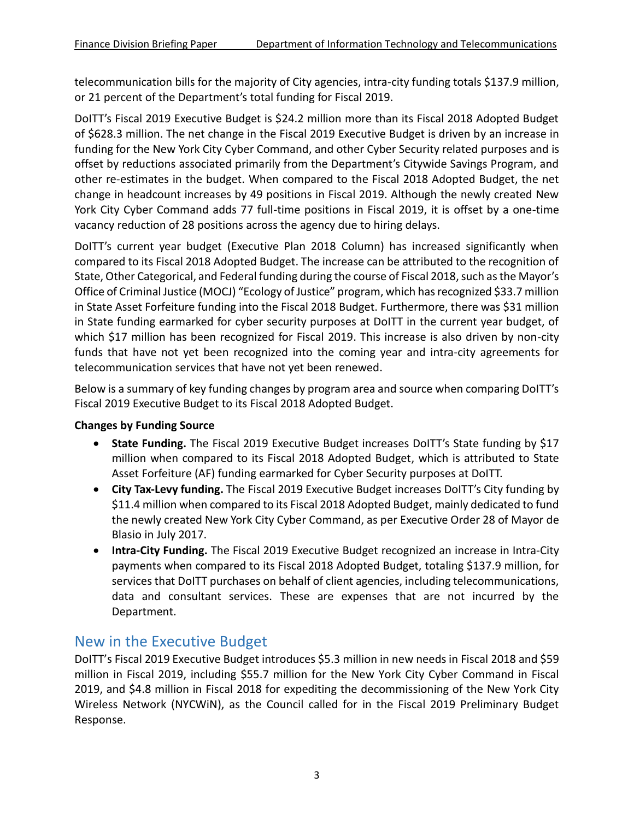telecommunication bills for the majority of City agencies, intra-city funding totals \$137.9 million, or 21 percent of the Department's total funding for Fiscal 2019.

DoITT's Fiscal 2019 Executive Budget is \$24.2 million more than its Fiscal 2018 Adopted Budget of \$628.3 million. The net change in the Fiscal 2019 Executive Budget is driven by an increase in funding for the New York City Cyber Command, and other Cyber Security related purposes and is offset by reductions associated primarily from the Department's Citywide Savings Program, and other re-estimates in the budget. When compared to the Fiscal 2018 Adopted Budget, the net change in headcount increases by 49 positions in Fiscal 2019. Although the newly created New York City Cyber Command adds 77 full-time positions in Fiscal 2019, it is offset by a one-time vacancy reduction of 28 positions across the agency due to hiring delays.

DoITT's current year budget (Executive Plan 2018 Column) has increased significantly when compared to its Fiscal 2018 Adopted Budget. The increase can be attributed to the recognition of State, Other Categorical, and Federal funding during the course of Fiscal 2018, such as the Mayor's Office of Criminal Justice (MOCJ) "Ecology of Justice" program, which has recognized \$33.7 million in State Asset Forfeiture funding into the Fiscal 2018 Budget. Furthermore, there was \$31 million in State funding earmarked for cyber security purposes at DoITT in the current year budget, of which \$17 million has been recognized for Fiscal 2019. This increase is also driven by non-city funds that have not yet been recognized into the coming year and intra-city agreements for telecommunication services that have not yet been renewed.

Below is a summary of key funding changes by program area and source when comparing DoITT's Fiscal 2019 Executive Budget to its Fiscal 2018 Adopted Budget.

#### **Changes by Funding Source**

- **State Funding.** The Fiscal 2019 Executive Budget increases DoITT's State funding by \$17 million when compared to its Fiscal 2018 Adopted Budget, which is attributed to State Asset Forfeiture (AF) funding earmarked for Cyber Security purposes at DoITT.
- **City Tax-Levy funding.** The Fiscal 2019 Executive Budget increases DoITT's City funding by \$11.4 million when compared to its Fiscal 2018 Adopted Budget, mainly dedicated to fund the newly created New York City Cyber Command, as per Executive Order 28 of Mayor de Blasio in July 2017.
- **Intra-City Funding.** The Fiscal 2019 Executive Budget recognized an increase in Intra-City payments when compared to its Fiscal 2018 Adopted Budget, totaling \$137.9 million, for services that DoITT purchases on behalf of client agencies, including telecommunications, data and consultant services. These are expenses that are not incurred by the Department.

### New in the Executive Budget

DoITT's Fiscal 2019 Executive Budget introduces \$5.3 million in new needs in Fiscal 2018 and \$59 million in Fiscal 2019, including \$55.7 million for the New York City Cyber Command in Fiscal 2019, and \$4.8 million in Fiscal 2018 for expediting the decommissioning of the New York City Wireless Network (NYCWiN), as the Council called for in the Fiscal 2019 Preliminary Budget Response.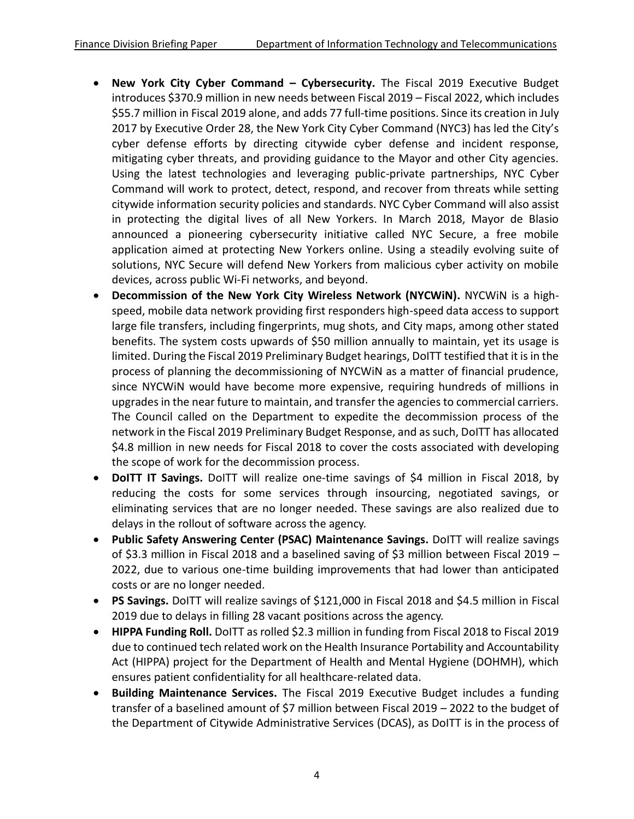- **New York City Cyber Command – Cybersecurity.** The Fiscal 2019 Executive Budget introduces \$370.9 million in new needs between Fiscal 2019 – Fiscal 2022, which includes \$55.7 million in Fiscal 2019 alone, and adds 77 full-time positions. Since its creation in July 2017 by Executive Order 28, the New York City Cyber Command (NYC3) has led the City's cyber defense efforts by directing citywide cyber defense and incident response, mitigating cyber threats, and providing guidance to the Mayor and other City agencies. Using the latest technologies and leveraging public-private partnerships, NYC Cyber Command will work to protect, detect, respond, and recover from threats while setting citywide information security policies and standards. NYC Cyber Command will also assist in protecting the digital lives of all New Yorkers. In March 2018, Mayor de Blasio announced a pioneering cybersecurity initiative called NYC Secure, a free mobile application aimed at protecting New Yorkers online. Using a steadily evolving suite of solutions, NYC Secure will defend New Yorkers from malicious cyber activity on mobile devices, across public Wi-Fi networks, and beyond.
- **Decommission of the New York City Wireless Network (NYCWiN).** NYCWiN is a highspeed, mobile data network providing first responders high-speed data access to support large file transfers, including fingerprints, mug shots, and City maps, among other stated benefits. The system costs upwards of \$50 million annually to maintain, yet its usage is limited. During the Fiscal 2019 Preliminary Budget hearings, DoITT testified that it is in the process of planning the decommissioning of NYCWiN as a matter of financial prudence, since NYCWiN would have become more expensive, requiring hundreds of millions in upgrades in the near future to maintain, and transfer the agencies to commercial carriers. The Council called on the Department to expedite the decommission process of the network in the Fiscal 2019 Preliminary Budget Response, and as such, DoITT has allocated \$4.8 million in new needs for Fiscal 2018 to cover the costs associated with developing the scope of work for the decommission process.
- **DoITT IT Savings.** DoITT will realize one-time savings of \$4 million in Fiscal 2018, by reducing the costs for some services through insourcing, negotiated savings, or eliminating services that are no longer needed. These savings are also realized due to delays in the rollout of software across the agency.
- **Public Safety Answering Center (PSAC) Maintenance Savings.** DoITT will realize savings of \$3.3 million in Fiscal 2018 and a baselined saving of \$3 million between Fiscal 2019 – 2022, due to various one-time building improvements that had lower than anticipated costs or are no longer needed.
- **PS Savings.** DoITT will realize savings of \$121,000 in Fiscal 2018 and \$4.5 million in Fiscal 2019 due to delays in filling 28 vacant positions across the agency.
- **HIPPA Funding Roll.** DoITT as rolled \$2.3 million in funding from Fiscal 2018 to Fiscal 2019 due to continued tech related work on the Health Insurance Portability and Accountability Act (HIPPA) project for the Department of Health and Mental Hygiene (DOHMH), which ensures patient confidentiality for all healthcare-related data.
- **Building Maintenance Services.** The Fiscal 2019 Executive Budget includes a funding transfer of a baselined amount of \$7 million between Fiscal 2019 – 2022 to the budget of the Department of Citywide Administrative Services (DCAS), as DoITT is in the process of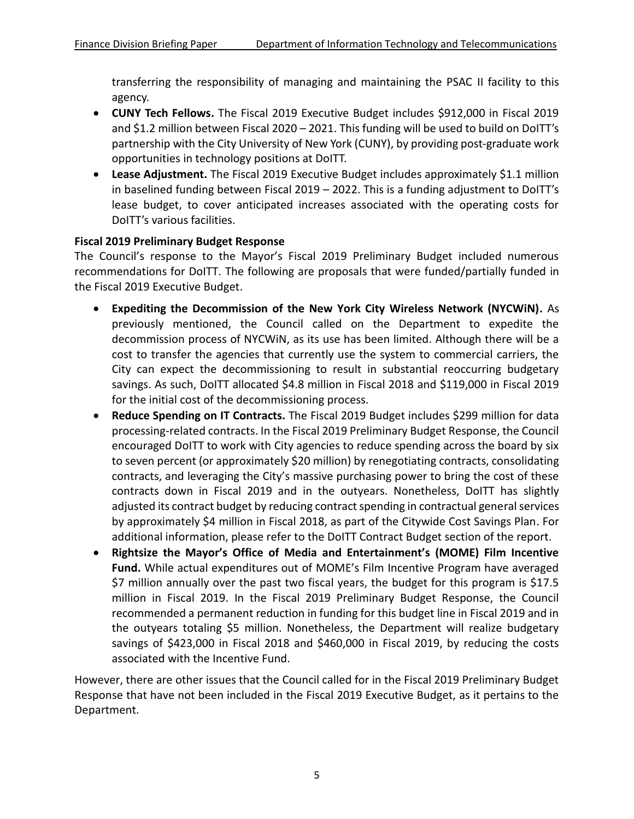transferring the responsibility of managing and maintaining the PSAC II facility to this agency.

- **CUNY Tech Fellows.** The Fiscal 2019 Executive Budget includes \$912,000 in Fiscal 2019 and \$1.2 million between Fiscal 2020 – 2021. This funding will be used to build on DoITT's partnership with the City University of New York (CUNY), by providing post-graduate work opportunities in technology positions at DoITT.
- **Lease Adjustment.** The Fiscal 2019 Executive Budget includes approximately \$1.1 million in baselined funding between Fiscal 2019 – 2022. This is a funding adjustment to DoITT's lease budget, to cover anticipated increases associated with the operating costs for DoITT's various facilities.

#### **Fiscal 2019 Preliminary Budget Response**

The Council's response to the Mayor's Fiscal 2019 Preliminary Budget included numerous recommendations for DoITT. The following are proposals that were funded/partially funded in the Fiscal 2019 Executive Budget.

- **Expediting the Decommission of the New York City Wireless Network (NYCWiN).** As previously mentioned, the Council called on the Department to expedite the decommission process of NYCWiN, as its use has been limited. Although there will be a cost to transfer the agencies that currently use the system to commercial carriers, the City can expect the decommissioning to result in substantial reoccurring budgetary savings. As such, DoITT allocated \$4.8 million in Fiscal 2018 and \$119,000 in Fiscal 2019 for the initial cost of the decommissioning process.
- **Reduce Spending on IT Contracts.** The Fiscal 2019 Budget includes \$299 million for data processing-related contracts. In the Fiscal 2019 Preliminary Budget Response, the Council encouraged DoITT to work with City agencies to reduce spending across the board by six to seven percent (or approximately \$20 million) by renegotiating contracts, consolidating contracts, and leveraging the City's massive purchasing power to bring the cost of these contracts down in Fiscal 2019 and in the outyears. Nonetheless, DoITT has slightly adjusted its contract budget by reducing contract spending in contractual general services by approximately \$4 million in Fiscal 2018, as part of the Citywide Cost Savings Plan. For additional information, please refer to the DoITT Contract Budget section of the report.
- **Rightsize the Mayor's Office of Media and Entertainment's (MOME) Film Incentive Fund.** While actual expenditures out of MOME's Film Incentive Program have averaged \$7 million annually over the past two fiscal years, the budget for this program is \$17.5 million in Fiscal 2019. In the Fiscal 2019 Preliminary Budget Response, the Council recommended a permanent reduction in funding for this budget line in Fiscal 2019 and in the outyears totaling \$5 million. Nonetheless, the Department will realize budgetary savings of \$423,000 in Fiscal 2018 and \$460,000 in Fiscal 2019, by reducing the costs associated with the Incentive Fund.

However, there are other issues that the Council called for in the Fiscal 2019 Preliminary Budget Response that have not been included in the Fiscal 2019 Executive Budget, as it pertains to the Department.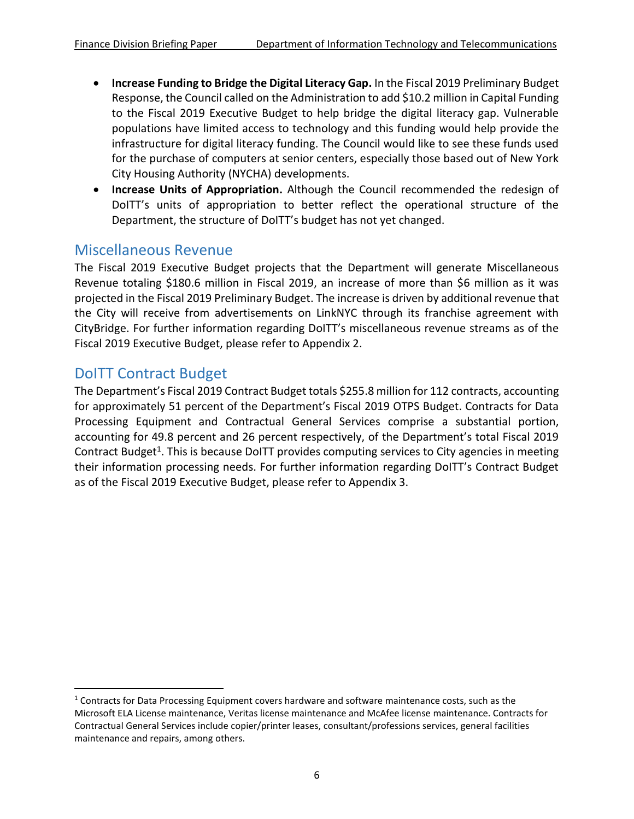- **Increase Funding to Bridge the Digital Literacy Gap.** In the Fiscal 2019 Preliminary Budget Response, the Council called on the Administration to add \$10.2 million in Capital Funding to the Fiscal 2019 Executive Budget to help bridge the digital literacy gap. Vulnerable populations have limited access to technology and this funding would help provide the infrastructure for digital literacy funding. The Council would like to see these funds used for the purchase of computers at senior centers, especially those based out of New York City Housing Authority (NYCHA) developments.
- **Increase Units of Appropriation.** Although the Council recommended the redesign of DoITT's units of appropriation to better reflect the operational structure of the Department, the structure of DoITT's budget has not yet changed.

### Miscellaneous Revenue

The Fiscal 2019 Executive Budget projects that the Department will generate Miscellaneous Revenue totaling \$180.6 million in Fiscal 2019, an increase of more than \$6 million as it was projected in the Fiscal 2019 Preliminary Budget. The increase is driven by additional revenue that the City will receive from advertisements on LinkNYC through its franchise agreement with CityBridge. For further information regarding DoITT's miscellaneous revenue streams as of the Fiscal 2019 Executive Budget, please refer to Appendix 2.

### DoITT Contract Budget

l

The Department's Fiscal 2019 Contract Budget totals \$255.8 million for 112 contracts, accounting for approximately 51 percent of the Department's Fiscal 2019 OTPS Budget. Contracts for Data Processing Equipment and Contractual General Services comprise a substantial portion, accounting for 49.8 percent and 26 percent respectively, of the Department's total Fiscal 2019 Contract Budget<sup>1</sup>. This is because DoITT provides computing services to City agencies in meeting their information processing needs. For further information regarding DoITT's Contract Budget as of the Fiscal 2019 Executive Budget, please refer to Appendix 3.

<sup>&</sup>lt;sup>1</sup> Contracts for Data Processing Equipment covers hardware and software maintenance costs, such as the Microsoft ELA License maintenance, Veritas license maintenance and McAfee license maintenance. Contracts for Contractual General Services include copier/printer leases, consultant/professions services, general facilities maintenance and repairs, among others.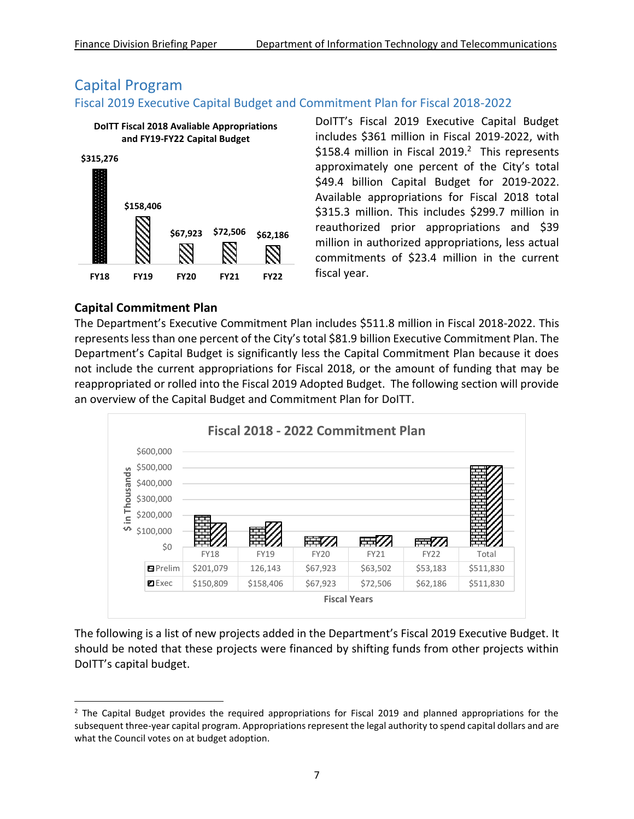# Capital Program

#### Fiscal 2019 Executive Capital Budget and Commitment Plan for Fiscal 2018-2022



DoITT's Fiscal 2019 Executive Capital Budget includes \$361 million in Fiscal 2019-2022, with \$158.4 million in Fiscal 2019.<sup>2</sup> This represents approximately one percent of the City's total \$49.4 billion Capital Budget for 2019-2022. Available appropriations for Fiscal 2018 total \$315.3 million. This includes \$299.7 million in reauthorized prior appropriations and \$39 million in authorized appropriations, less actual commitments of \$23.4 million in the current fiscal year.

#### **Capital Commitment Plan**

 $\overline{a}$ 

The Department's Executive Commitment Plan includes \$511.8 million in Fiscal 2018-2022. This represents less than one percent of the City's total \$81.9 billion Executive Commitment Plan. The Department's Capital Budget is significantly less the Capital Commitment Plan because it does not include the current appropriations for Fiscal 2018, or the amount of funding that may be reappropriated or rolled into the Fiscal 2019 Adopted Budget. The following section will provide an overview of the Capital Budget and Commitment Plan for DoITT.



The following is a list of new projects added in the Department's Fiscal 2019 Executive Budget. It should be noted that these projects were financed by shifting funds from other projects within DoITT's capital budget.

 $<sup>2</sup>$  The Capital Budget provides the required appropriations for Fiscal 2019 and planned appropriations for the</sup> subsequent three-year capital program. Appropriations represent the legal authority to spend capital dollars and are what the Council votes on at budget adoption.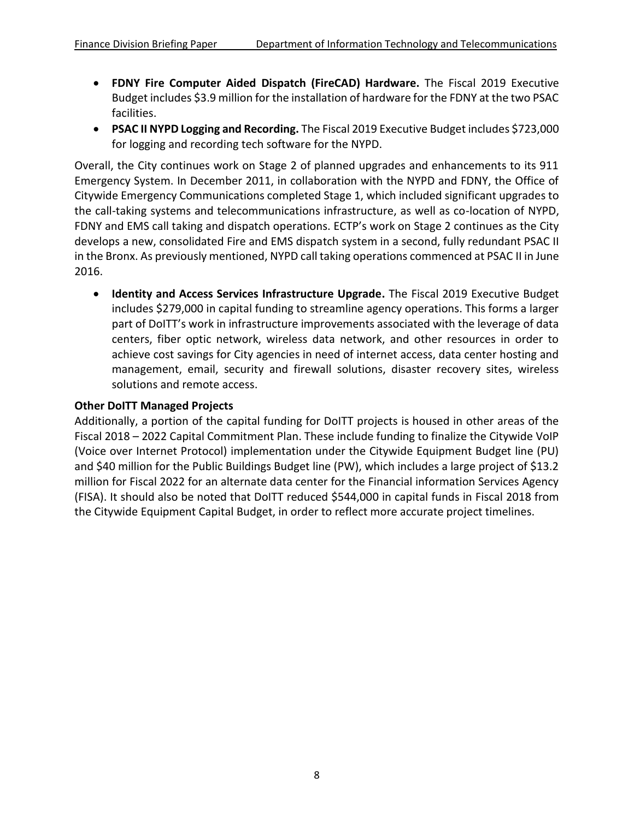- **FDNY Fire Computer Aided Dispatch (FireCAD) Hardware.** The Fiscal 2019 Executive Budget includes \$3.9 million for the installation of hardware for the FDNY at the two PSAC facilities.
- **PSAC II NYPD Logging and Recording.** The Fiscal 2019 Executive Budget includes \$723,000 for logging and recording tech software for the NYPD.

Overall, the City continues work on Stage 2 of planned upgrades and enhancements to its 911 Emergency System. In December 2011, in collaboration with the NYPD and FDNY, the Office of Citywide Emergency Communications completed Stage 1, which included significant upgrades to the call-taking systems and telecommunications infrastructure, as well as co-location of NYPD, FDNY and EMS call taking and dispatch operations. ECTP's work on Stage 2 continues as the City develops a new, consolidated Fire and EMS dispatch system in a second, fully redundant PSAC II in the Bronx. As previously mentioned, NYPD call taking operations commenced at PSAC II in June 2016.

 **Identity and Access Services Infrastructure Upgrade.** The Fiscal 2019 Executive Budget includes \$279,000 in capital funding to streamline agency operations. This forms a larger part of DoITT's work in infrastructure improvements associated with the leverage of data centers, fiber optic network, wireless data network, and other resources in order to achieve cost savings for City agencies in need of internet access, data center hosting and management, email, security and firewall solutions, disaster recovery sites, wireless solutions and remote access.

#### **Other DoITT Managed Projects**

Additionally, a portion of the capital funding for DoITT projects is housed in other areas of the Fiscal 2018 – 2022 Capital Commitment Plan. These include funding to finalize the Citywide VoIP (Voice over Internet Protocol) implementation under the Citywide Equipment Budget line (PU) and \$40 million for the Public Buildings Budget line (PW), which includes a large project of \$13.2 million for Fiscal 2022 for an alternate data center for the Financial information Services Agency (FISA). It should also be noted that DoITT reduced \$544,000 in capital funds in Fiscal 2018 from the Citywide Equipment Capital Budget, in order to reflect more accurate project timelines.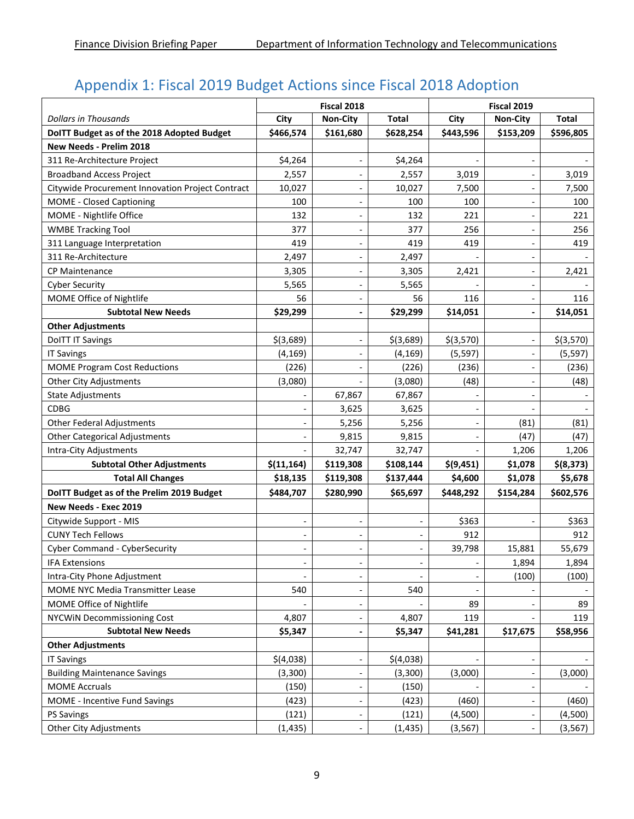# Appendix 1: Fiscal 2019 Budget Actions since Fiscal 2018 Adoption

|                                                  | Fiscal 2018 |                          |                          | Fiscal 2019 |                          |              |  |
|--------------------------------------------------|-------------|--------------------------|--------------------------|-------------|--------------------------|--------------|--|
| <b>Dollars in Thousands</b>                      | City        | Non-City                 | <b>Total</b>             | City        | <b>Non-City</b>          | <b>Total</b> |  |
| DoITT Budget as of the 2018 Adopted Budget       | \$466,574   | \$161,680                | \$628,254                | \$443,596   | \$153,209                | \$596,805    |  |
| New Needs - Prelim 2018                          |             |                          |                          |             |                          |              |  |
| 311 Re-Architecture Project                      | \$4,264     |                          | \$4,264                  |             |                          |              |  |
| <b>Broadband Access Project</b>                  | 2,557       | $\overline{\phantom{a}}$ | 2,557                    | 3,019       | $\overline{a}$           | 3,019        |  |
| Citywide Procurement Innovation Project Contract | 10,027      | $\overline{\phantom{m}}$ | 10,027                   | 7,500       |                          | 7,500        |  |
| <b>MOME - Closed Captioning</b>                  | 100         |                          | 100                      | 100         |                          | 100          |  |
| MOME - Nightlife Office                          | 132         | $\blacksquare$           | 132                      | 221         |                          | 221          |  |
| <b>WMBE Tracking Tool</b>                        | 377         | $\overline{\phantom{a}}$ | 377                      | 256         |                          | 256          |  |
| 311 Language Interpretation                      | 419         | $\overline{\phantom{a}}$ | 419                      | 419         |                          | 419          |  |
| 311 Re-Architecture                              | 2,497       |                          | 2,497                    |             |                          |              |  |
| <b>CP Maintenance</b>                            | 3,305       | $\overline{\phantom{a}}$ | 3,305                    | 2,421       |                          | 2,421        |  |
| <b>Cyber Security</b>                            | 5,565       | $\overline{\phantom{a}}$ | 5,565                    |             |                          |              |  |
| MOME Office of Nightlife                         | 56          | $\overline{\phantom{a}}$ | 56                       | 116         | $\overline{\phantom{a}}$ | 116          |  |
| <b>Subtotal New Needs</b>                        | \$29,299    |                          | \$29,299                 | \$14,051    |                          | \$14,051     |  |
| <b>Other Adjustments</b>                         |             |                          |                          |             |                          |              |  |
| <b>DoITT IT Savings</b>                          | $$$ (3,689) |                          | $$$ (3,689)              | \$(3,570)   |                          | \$(3,570)    |  |
| <b>IT Savings</b>                                | (4, 169)    |                          | (4, 169)                 | (5, 597)    |                          | (5, 597)     |  |
| <b>MOME Program Cost Reductions</b>              | (226)       | $\blacksquare$           | (226)                    | (236)       | $\blacksquare$           | (236)        |  |
| <b>Other City Adjustments</b>                    | (3,080)     |                          | (3,080)                  | (48)        |                          | (48)         |  |
| <b>State Adjustments</b>                         |             | 67,867                   | 67,867                   |             |                          |              |  |
| <b>CDBG</b>                                      |             | 3,625                    | 3,625                    |             |                          |              |  |
| <b>Other Federal Adjustments</b>                 |             | 5,256                    | 5,256                    |             | (81)                     | (81)         |  |
| <b>Other Categorical Adjustments</b>             |             | 9,815                    | 9,815                    |             | (47)                     | (47)         |  |
| Intra-City Adjustments                           |             | 32,747                   | 32,747                   |             | 1,206                    | 1,206        |  |
| <b>Subtotal Other Adjustments</b>                | \$(11, 164) | \$119,308                | \$108,144                | \$(9,451)   | \$1,078                  | \$(8,373)    |  |
| <b>Total All Changes</b>                         | \$18,135    | \$119,308                | \$137,444                | \$4,600     | \$1,078                  | \$5,678      |  |
| DoITT Budget as of the Prelim 2019 Budget        | \$484,707   | \$280,990                | \$65,697                 | \$448,292   | \$154,284                | \$602,576    |  |
| New Needs - Exec 2019                            |             |                          |                          |             |                          |              |  |
| Citywide Support - MIS                           |             | $\overline{\phantom{a}}$ | -                        | \$363       |                          | \$363        |  |
| <b>CUNY Tech Fellows</b>                         |             | $\overline{\phantom{a}}$ | $\overline{\phantom{a}}$ | 912         |                          | 912          |  |
| Cyber Command - CyberSecurity                    |             |                          |                          | 39,798      | 15,881                   | 55,679       |  |
| <b>IFA Extensions</b>                            |             | $\overline{\phantom{a}}$ |                          |             | 1,894                    | 1,894        |  |
| Intra-City Phone Adjustment                      |             |                          |                          |             | (100)                    | (100)        |  |
| MOME NYC Media Transmitter Lease                 | 540         | $\overline{\phantom{a}}$ | 540                      |             |                          |              |  |
| MOME Office of Nightlife                         |             |                          |                          | 89          |                          | 89           |  |
| <b>NYCWIN Decommissioning Cost</b>               | 4,807       |                          | 4,807                    | 119         |                          | 119          |  |
| <b>Subtotal New Needs</b>                        | \$5,347     | $\overline{\phantom{0}}$ | \$5,347                  | \$41,281    | \$17,675                 | \$58,956     |  |
| <b>Other Adjustments</b>                         |             |                          |                          |             |                          |              |  |
| <b>IT Savings</b>                                | \$(4,038)   | $\overline{\phantom{a}}$ | \$(4,038)                |             | $\overline{\phantom{a}}$ |              |  |
| <b>Building Maintenance Savings</b>              | (3,300)     |                          | (3,300)                  | (3,000)     |                          | (3,000)      |  |
| <b>MOME Accruals</b>                             | (150)       | $\overline{\phantom{a}}$ | (150)                    |             |                          |              |  |
| <b>MOME</b> - Incentive Fund Savings             | (423)       |                          | (423)                    | (460)       |                          | (460)        |  |
| <b>PS Savings</b>                                | (121)       |                          | (121)                    | (4,500)     | $\overline{\phantom{a}}$ | (4,500)      |  |
| <b>Other City Adjustments</b>                    | (1, 435)    |                          | (1, 435)                 | (3, 567)    |                          | (3, 567)     |  |